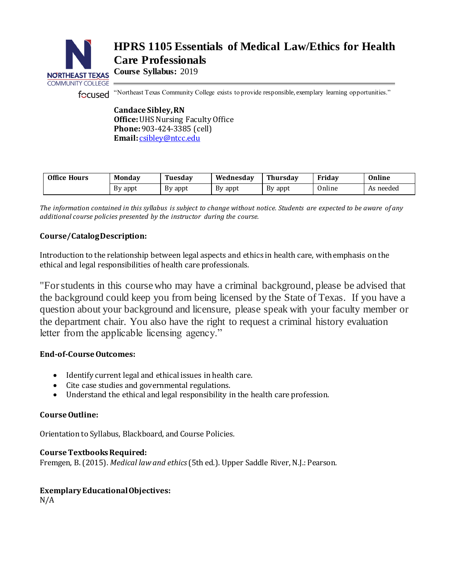

# **HPRS 1105 Essentials of Medical Law/Ethics for Health Care Professionals**

**Course Syllabus:** 2019

"Northeast Texas Community College exists to provide responsible, exemplary learning opportunities."

**Candace Sibley, RN Office:**UHS Nursing Faculty Office **Phone:**903-424-3385 (cell) **Email:** [csibley@ntcc.edu](mailto:csibley@ntcc.edu)

| <b>Office Hours</b> | <b>Monday</b> | Tuesdav | Wednesdav | Thursday | Fridav | Online    |
|---------------------|---------------|---------|-----------|----------|--------|-----------|
|                     | By appt       | By appt | By appt   | By appt  | Online | As needed |

*The information contained in this syllabus is subject to change without notice. Students are expected to be aware of any additional course policies presented by the instructor during the course.*

# **Course/Catalog Description:**

Introduction to the relationship between legal aspects and ethics in health care, with emphasis on the ethical and legal responsibilities of health care professionals.

"For students in this course who may have a criminal background, please be advised that the background could keep you from being licensed by the State of Texas. If you have a question about your background and licensure, please speak with your faculty member or the department chair. You also have the right to request a criminal history evaluation letter from the applicable licensing agency."

# **End-of-Course Outcomes:**

- Identify current legal and ethical issues in health care.
- Cite case studies and governmental regulations.
- Understand the ethical and legal responsibility in the health care profession.

# **Course Outline:**

Orientation to Syllabus, Blackboard, and Course Policies.

# **Course Textbooks Required:**

Fremgen, B. (2015). *Medical law and ethics*(5th ed.). Upper Saddle River, N.J.: Pearson.

# **Exemplary Educational Objectives:**

N/A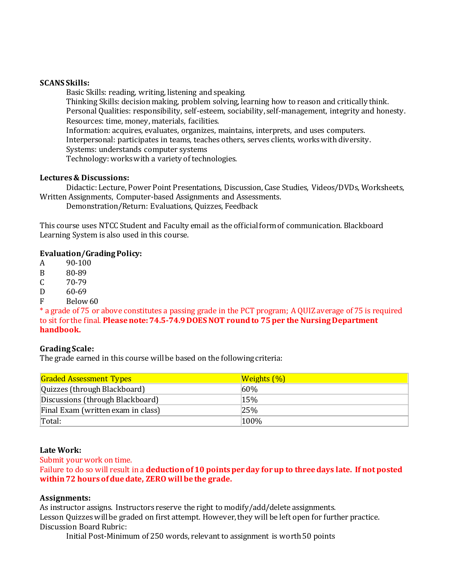#### **SCANS Skills:**

Basic Skills: reading, writing, listening and speaking. Thinking Skills: decision making, problem solving, learning how to reason and critically think. Personal Qualities: responsibility, self-esteem, sociability, self-management, integrity and honesty. Resources: time, money, materials, facilities. Information: acquires, evaluates, organizes, maintains, interprets, and uses computers. Interpersonal: participates in teams, teaches others, serves clients, works with diversity. Systems: understands computer systems Technology: works with a variety of technologies.

# **Lectures & Discussions:**

Didactic: Lecture, Power Point Presentations, Discussion, Case Studies, Videos/DVDs, Worksheets, Written Assignments, Computer-based Assignments and Assessments.

Demonstration/Return: Evaluations, Quizzes, Feedback

This course uses NTCC Student and Faculty email as the official form of communication. Blackboard Learning System is also used in this course.

# **Evaluation/Grading Policy:**

A 90-100

B 80-89

 $C = 70-79$ 

D 60-69

F Below 60

\* a grade of 75 or above constitutes a passing grade in the PCT program; A QUIZ average of 75 is required to sit for the final. **Please note: 74.5-74.9 DOES NOT round to 75 per the Nursing Department handbook.**

#### **Grading Scale:**

The grade earned in this course will be based on the following criteria:

| <b>Graded Assessment Types</b>     | <b>Weights (%)</b> |
|------------------------------------|--------------------|
| Quizzes (through Blackboard)       | 60%                |
| Discussions (through Blackboard)   | 15%                |
| Final Exam (written exam in class) | 25%                |
| Total:                             | 100%               |

#### **Late Work:**

Submit your work on time.

Failure to do so will result in a **deduction of 10 points per day for up to three days late. If not posted within 72 hours of due date, ZERO will be the grade.** 

#### **Assignments:**

As instructor assigns. Instructors reserve the right to modify/add/delete assignments.

Lesson Quizzes will be graded on first attempt. However, they will be left open for further practice. Discussion Board Rubric:

Initial Post-Minimum of 250 words, relevant to assignment is worth 50 points